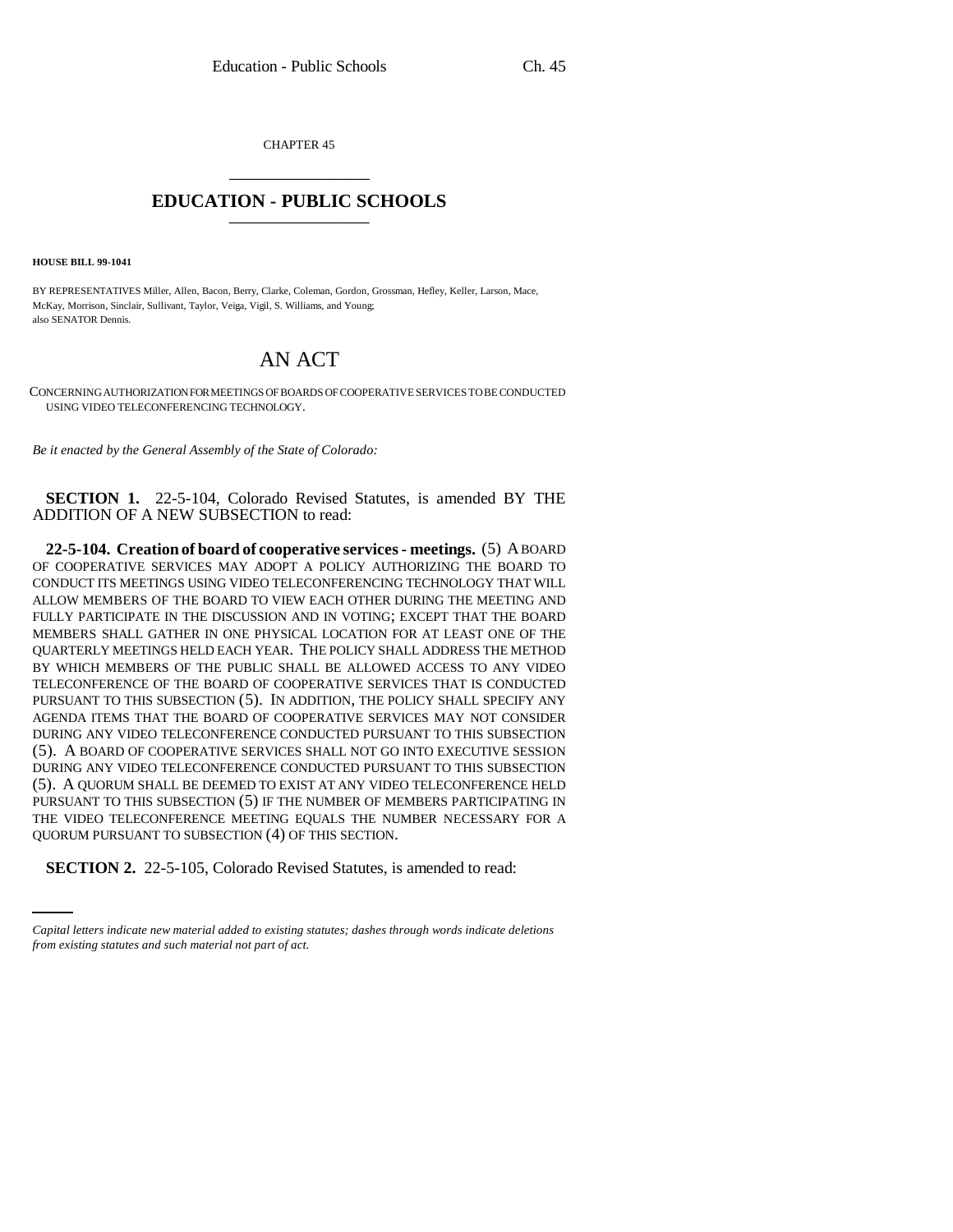CHAPTER 45 \_\_\_\_\_\_\_\_\_\_\_\_\_\_\_

## **EDUCATION - PUBLIC SCHOOLS** \_\_\_\_\_\_\_\_\_\_\_\_\_\_\_

**HOUSE BILL 99-1041**

BY REPRESENTATIVES Miller, Allen, Bacon, Berry, Clarke, Coleman, Gordon, Grossman, Hefley, Keller, Larson, Mace, McKay, Morrison, Sinclair, Sullivant, Taylor, Veiga, Vigil, S. Williams, and Young; also SENATOR Dennis.

## AN ACT

CONCERNING AUTHORIZATION FOR MEETINGS OF BOARDS OF COOPERATIVE SERVICES TO BE CONDUCTED USING VIDEO TELECONFERENCING TECHNOLOGY.

*Be it enacted by the General Assembly of the State of Colorado:*

**SECTION 1.** 22-5-104, Colorado Revised Statutes, is amended BY THE ADDITION OF A NEW SUBSECTION to read:

QUORUM PURSUANT TO SUBSECTION (4) OF THIS SECTION. **22-5-104. Creation of board of cooperative services - meetings.** (5) A BOARD OF COOPERATIVE SERVICES MAY ADOPT A POLICY AUTHORIZING THE BOARD TO CONDUCT ITS MEETINGS USING VIDEO TELECONFERENCING TECHNOLOGY THAT WILL ALLOW MEMBERS OF THE BOARD TO VIEW EACH OTHER DURING THE MEETING AND FULLY PARTICIPATE IN THE DISCUSSION AND IN VOTING; EXCEPT THAT THE BOARD MEMBERS SHALL GATHER IN ONE PHYSICAL LOCATION FOR AT LEAST ONE OF THE QUARTERLY MEETINGS HELD EACH YEAR. THE POLICY SHALL ADDRESS THE METHOD BY WHICH MEMBERS OF THE PUBLIC SHALL BE ALLOWED ACCESS TO ANY VIDEO TELECONFERENCE OF THE BOARD OF COOPERATIVE SERVICES THAT IS CONDUCTED PURSUANT TO THIS SUBSECTION (5). IN ADDITION, THE POLICY SHALL SPECIFY ANY AGENDA ITEMS THAT THE BOARD OF COOPERATIVE SERVICES MAY NOT CONSIDER DURING ANY VIDEO TELECONFERENCE CONDUCTED PURSUANT TO THIS SUBSECTION (5). A BOARD OF COOPERATIVE SERVICES SHALL NOT GO INTO EXECUTIVE SESSION DURING ANY VIDEO TELECONFERENCE CONDUCTED PURSUANT TO THIS SUBSECTION (5). A QUORUM SHALL BE DEEMED TO EXIST AT ANY VIDEO TELECONFERENCE HELD PURSUANT TO THIS SUBSECTION (5) IF THE NUMBER OF MEMBERS PARTICIPATING IN THE VIDEO TELECONFERENCE MEETING EQUALS THE NUMBER NECESSARY FOR A

**SECTION 2.** 22-5-105, Colorado Revised Statutes, is amended to read:

*Capital letters indicate new material added to existing statutes; dashes through words indicate deletions from existing statutes and such material not part of act.*